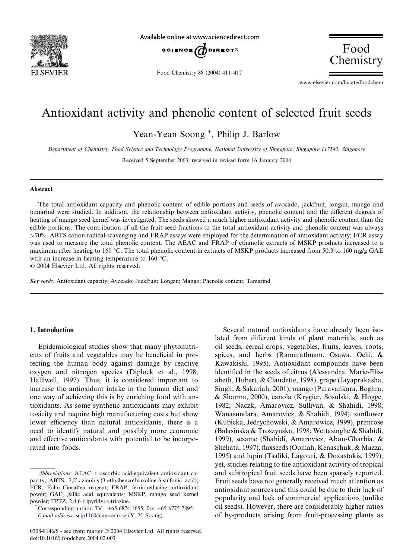

Available online at www.sciencedirect.com



Food Chemistry 88 (2004) 411–417

Food Chemistry

www.elsevier.com/locate/foodchem

# Antioxidant activity and phenolic content of selected fruit seeds

Yean-Yean Soong \*, Philip J. Barlow

Department of Chemistry, Food Science and Technology Programme, National University of Singapore, Singapore 117543, Singapore

Received 5 September 2003; received in revised form 16 January 2004

## Abstract

The total antioxidant capacity and phenolic content of edible portions and seeds of avocado, jackfruit, longan, mango and tamarind were studied. In addition, the relationship between antioxidant activity, phenolic content and the different degrees of heating of mango seed kernel was investigated. The seeds showed a much higher antioxidant activity and phenolic content than the edible portions. The contribution of all the fruit seed fractions to the total antioxidant activity and phenolic content was always >70%. ABTS cation radical-scavenging and FRAP assays were employed for the determination of antioxidant activity; FCR assay was used to measure the total phenolic content. The AEAC and FRAP of ethanolic extracts of MSKP products increased to a maximum after heating to 160 °C. The total phenolic content in extracts of MSKP products increased from 50.3 to 160 mg/g GAE with an increase in heating temperature to  $160^{\circ}$ C.

 $© 2004 Elsevier Ltd. All rights reserved.$ 

Keywords: Antioxidant capacity; Avocado; Jackfruit; Longan; Mango; Phenolic content; Tamarind

## 1. Introduction

Epidemiological studies show that many phytonutrients of fruits and vegetables may be beneficial in protecting the human body against damage by reactive oxygen and nitrogen species (Diplock et al., 1998; Halliwell, 1997). Thus, it is considered important to increase the antioxidant intake in the human diet and one way of achieving this is by enriching food with antioxidants. As some synthetic antioxidants may exhibit toxicity and require high manufacturing costs but show lower efficiency than natural antioxidants, there is a need to identify natural and possibly more economic and effective antioxidants with potential to be incorporated into foods.

Several natural antioxidants have already been isolated from different kinds of plant materials, such as oil seeds, cereal crops, vegetables, fruits, leaves, roots, spices, and herbs (Ramarathnam, Osawa, Ochi, & Kawakishi, 1995). Antioxidant compounds have been identified in the seeds of citrus (Alessandra, Marie-Elisabeth, Hubert, & Claudette, 1998), grape (Jayaprakasha, Singh, & Sakariah, 2001), mango (Puravankara, Boghra, & Sharma, 2000), canola (Krygier, Sosulski, & Hogge, 1982; Naczk, Amarovicz, Sullivan, & Shahidi, 1998; Wanasundara, Amarovicz, & Shahidi, 1994), sunflower (Kubicka, Jedrychowski, & Amarowicz, 1999), primrose (Balasinska & Troszynska, 1998; Wettasinghe & Shahidi, 1999), sesame (Shahidi, Amarovicz, Abou-Gharbia, & Shehata, 1997), flaxseeds (Oomah, Kenaschuk, & Mazza, 1995) and lupin (Tsaliki, Lagouri, & Doxastakis, 1999); yet, studies relating to the antioxidant activity of tropical and subtropical fruit seeds have been sparsely reported. Fruit seeds have not generally received much attention as antioxidant sources and this could be due to their lack of popularity and lack of commercial applications (unlike oil seeds). However, there are considerably higher ratios of by-products arising from fruit-processing plants as

Abbreviations: AEAC, L-ascorbic acid-equivalent antioxidant capacity; ABTS, 2,2'-azinobis-(3-ethylbenzothiazoline-6-sulfonic acid); FCR, Folin–Ciocalteu reagent; FRAP, ferric-reducing antioxidant power; GAE, gallic acid equivalents; MSKP, mango seed kernel powder; TPTZ, 2,4,6-tripyridyl-s-triazine. \* Corresponding author. Tel.: +65-6874-1655; fax: +65-6775-7895.

E-mail address: [scip1160@nus.edu.sg](mail to: scip1160@nus.edu.sg) (Y.-Y. Soong).

<sup>0308-8146/\$ -</sup> see front matter © 2004 Elsevier Ltd. All rights reserved. doi:10.1016/j.foodchem.2004.02.003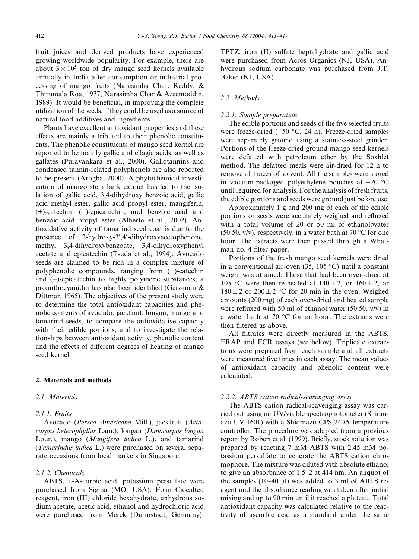fruit juices and derived products have experienced growing worldwide popularity. For example, there are about  $3 \times 10^5$  ton of dry mango seed kernels available annually in India after consumption or industrial processing of mango fruits (Narasimha Char, Reddy, & Thirumala Roa, 1977; Narasimha Char & Azeemoddin, 1989). It would be beneficial, in improving the complete utilization of the seeds, if they could be used as a source of natural food additives and ingredients.

Plants have excellent antioxidant properties and these effects are mainly attributed to their phenolic constituents. The phenolic constituents of mango seed kernel are reported to be mainly gallic and ellagic acids, as well as gallates (Puravankara et al., 2000). Gallotannins and condensed tannin-related polyphenols are also reported to be present (Arogba, 2000). A phytochemical investigation of mango stem bark extract has led to the isolation of gallic acid, 3,4-dihydroxy benzoic acid, gallic acid methyl ester, gallic acid propyl ester, mangiferin,  $(+)$ -catechin,  $(-)$ -epicatechin, and benzoic acid and benzoic acid propyl ester (Alberto et al., 2002). Antioxidative activity of tamarind seed coat is due to the presence of 2-hydroxy-3',4'-dihydroxyacetophenone, methyl 3,4-dihydroxybenzoate, 3,4-dihydroxyphenyl acetate and epicatechin (Tsuda et al., 1994). Avocado seeds are claimed to be rich in a complex mixture of polyphenolic compounds, ranging from (+)-catechin and  $(-)$ -epicatechin to highly polymeric substances; a proanthocyanidin has also been identified (Geissman & Dittmar, 1965). The objectives of the present study were to determine the total antioxidant capacities and phenolic contents of avocado, jackfruit, longan, mango and tamarind seeds, to compare the antioxidative capacity with their edible portions, and to investigate the relationships between antioxidant activity, phenolic content and the effects of different degrees of heating of mango seed kernel.

# 2. Materials and methods

## 2.1. Materials

# 2.1.1. Fruits

Avocado (Persea Americana Mill.), jackfruit (Artocarpus heterophyllus Lam.), longan (Dimocarpus longan Lour.), mango (Mangifera indica L.), and tamarind (Tamarindus indica L.) were purchased on several separate occasions from local markets in Singapore.

## 2.1.2. Chemicals

ABTS, L-Ascorbic acid, potassium persulfate were purchased from Sigma (MO, USA). Folin–Ciocalteu reagent, iron (III) chloride hexahydrate, anhydrous sodium acetate, acetic acid, ethanol and hydrochloric acid were purchased from Merck (Darmstadt, Germany). TPTZ, iron (II) sulfate heptahydrate and gallic acid were purchased from Acros Organics (NJ, USA). Anhydrous sodium carbonate was purchased from J.T. Baker (NJ, USA).

# 2.2. Methods

#### 2.2.1. Sample preparation

The edible portions and seeds of the five selected fruits were freeze-dried  $(-50 \degree C, 24 \text{ h})$ . Freeze-dried samples were separately ground using a stainless-steel grinder. Portions of the freeze-dried ground mango seed kernels were defatted with petroleum ether by the Soxhlet method. The defatted meals were air-dried for 12 h to remove all traces of solvent. All the samples were stored in vacuum-packaged polyethylene pouches at  $-20$  °C until required for analysis. For the analysis of fresh fruits, the edible portions and seeds were ground just before use.

Approximately 1 g and 200 mg of each of the edible portions or seeds were accurately weighed and refluxed with a total volume of 20 or 50 ml of ethanol:water (50:50, v/v), respectively, in a water bath at 70  $\rm{^{\circ}C}$  for one hour. The extracts were then passed through a Whatman no. 4 filter paper.

Portions of the fresh mango seed kernels were dried in a conventional air-oven  $(35, 105 \degree C)$  until a constant weight was attained. Those that had been oven-dried at 105 °C were then re-heated at  $140 \pm 2$ , or  $160 \pm 2$ , or  $180 \pm 2$  or  $200 \pm 2$  °C for 20 min in the oven. Weighed amounts (200 mg) of each oven-dried and heated sample were refluxed with 50 ml of ethanol:water (50:50, v/v) in a water bath at 70  $\degree$ C for an hour. The extracts were then filtered as above.

All filtrates were directly measured in the ABTS, FRAP and FCR assays (see below). Triplicate extractions were prepared from each sample and all extracts were measured five times in each assay. The mean values of antioxidant capacity and phenolic content were calculated.

# 2.2.2. ABTS cation radical-scavenging assay

The ABTS cation radical-scavenging assay was carried out using an UV/visible spectrophotometer (Shidmazu UV-1601) with a Shidmazu CPS-240A temperature controller. The procedure was adapted from a previous report by Robert et al. (1999). Briefly, stock solution was prepared by reacting 7 mM ABTS with 2.45 mM potassium persulfate to generate the ABTS cation chromophore. The mixture was diluted with absolute ethanol to give an absorbance of 1.5–2 at 414 nm. An aliquot of the samples (10–40  $\mu$ I) was added to 3 ml of ABTS reagent and the absorbance reading was taken after initial mixing and up to 90 min until it reached a plateau. Total antioxidant capacity was calculated relative to the reactivity of ascorbic acid as a standard under the same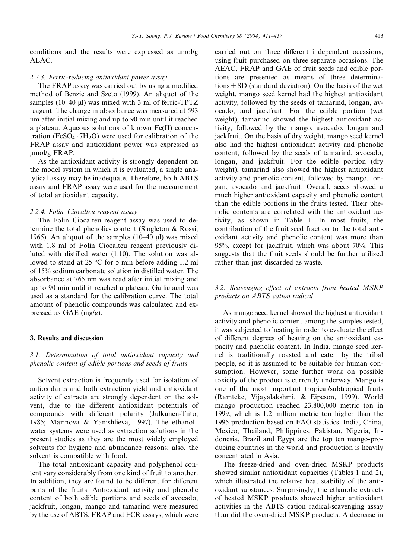conditions and the results were expressed as  $\mu$ mol/g AEAC.

#### 2.2.3. Ferric-reducing antioxidant power assay

The FRAP assay was carried out by using a modified method of Benzie and Szeto (1999). An aliquot of the samples (10–40  $\mu$ I) was mixed with 3 ml of ferric-TPTZ reagent. The change in absorbance was measured at 593 nm after initial mixing and up to 90 min until it reached a plateau. Aqueous solutions of known Fe(II) concentration (FeSO<sub>4</sub>  $\cdot$  7H<sub>2</sub>O) were used for calibration of the FRAP assay and antioxidant power was expressed as lmol/g FRAP.

As the antioxidant activity is strongly dependent on the model system in which it is evaluated, a single analytical assay may be inadequate. Therefore, both ABTS assay and FRAP assay were used for the measurement of total antioxidant capacity.

#### 2.2.4. Folin–Ciocalteu reagent assay

The Folin–Ciocalteu reagent assay was used to determine the total phenolics content (Singleton & Rossi, 1965). An aliquot of the samples  $(10-40 \mu l)$  was mixed with 1.8 ml of Folin–Ciocalteu reagent previously diluted with distilled water (1:10). The solution was allowed to stand at  $25 \text{ °C}$  for 5 min before adding 1.2 ml of 15% sodium carbonate solution in distilled water. The absorbance at 765 nm was read after initial mixing and up to 90 min until it reached a plateau. Gallic acid was used as a standard for the calibration curve. The total amount of phenolic compounds was calculated and expressed as GAE (mg/g).

## 3. Results and discussion

# 3.1. Determination of total antioxidant capacity and phenolic content of edible portions and seeds of fruits

Solvent extraction is frequently used for isolation of antioxidants and both extraction yield and antioxidant activity of extracts are strongly dependent on the solvent, due to the different antioxidant potentials of compounds with different polarity (Julkunen-Tiito, 1985; Marinova & Yanishlieva, 1997). The ethanol– water systems were used as extraction solutions in the present studies as they are the most widely employed solvents for hygiene and abundance reasons; also, the solvent is compatible with food.

The total antioxidant capacity and polyphenol content vary considerably from one kind of fruit to another. In addition, they are found to be different for different parts of the fruits. Antioxidant activity and phenolic content of both edible portions and seeds of avocado, jackfruit, longan, mango and tamarind were measured by the use of ABTS, FRAP and FCR assays, which were carried out on three different independent occasions, using fruit purchased on three separate occasions. The AEAC, FRAP and GAE of fruit seeds and edible portions are presented as means of three determinations  $\pm$  SD (standard deviation). On the basis of the wet weight, mango seed kernel had the highest antioxidant activity, followed by the seeds of tamarind, longan, avocado, and jackfruit. For the edible portion (wet weight), tamarind showed the highest antioxidant activity, followed by the mango, avocado, longan and jackfruit. On the basis of dry weight, mango seed kernel also had the highest antioxidant activity and phenolic content, followed by the seeds of tamarind, avocado, longan, and jackfruit. For the edible portion (dry weight), tamarind also showed the highest antioxidant activity and phenolic content, followed by mango, longan, avocado and jackfruit. Overall, seeds showed a much higher antioxidant capacity and phenolic content than the edible portions in the fruits tested. Their phenolic contents are correlated with the antioxidant activity, as shown in Table 1. In most fruits, the contribution of the fruit seed fraction to the total antioxidant activity and phenolic content was more than 95%, except for jackfruit, which was about 70%. This suggests that the fruit seeds should be further utilized rather than just discarded as waste.

# 3.2. Scavenging effect of extracts from heated MSKP products on ABTS cation radical

As mango seed kernel showed the highest antioxidant activity and phenolic content among the samples tested, it was subjected to heating in order to evaluate the effect of different degrees of heating on the antioxidant capacity and phenolic content. In India, mango seed kernel is traditionally roasted and eaten by the tribal people, so it is assumed to be suitable for human consumption. However, some further work on possible toxicity of the product is currently underway. Mango is one of the most important tropical/subtropical fruits (Ramteke, Vijayalakshmi, & Eipeson, 1999). World mango production reached 23,800,000 metric ton in 1999, which is 1.2 million metric ton higher than the 1995 production based on FAO statistics. India, China, Mexico, Thailand, Philippines, Pakistan, Nigeria, Indonesia, Brazil and Egypt are the top ten mango-producing countries in the world and production is heavily concentrated in Asia.

The freeze-dried and oven-dried MSKP products showed similar antioxidant capacities (Tables 1 and 2), which illustrated the relative heat stability of the antioxidant substances. Surprisingly, the ethanolic extracts of heated MSKP products showed higher antioxidant activities in the ABTS cation radical-scavenging assay than did the oven-dried MSKP products. A decrease in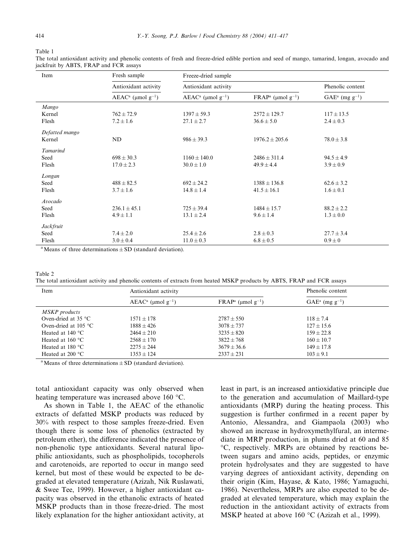Table 1

The total antioxidant activity and phenolic contents of fresh and freeze-dried edible portion and seed of mango, tamarind, longan, avocado and jackfruit by ABTS, FRAP and FCR assays

| Item            | Fresh sample                 | Freeze-dried sample          |                                    |                        |
|-----------------|------------------------------|------------------------------|------------------------------------|------------------------|
|                 | Antioxidant activity         | Antioxidant activity         |                                    | Phenolic content       |
|                 | $A E A C^a$ (µmol $g^{-1}$ ) | $A E A C^a$ (µmol $g^{-1}$ ) | FRAP <sup>a</sup> (µmol $g^{-1}$ ) | $GAE^a$ (mg $g^{-1}$ ) |
| Mango           |                              |                              |                                    |                        |
| Kernel          | $762 \pm 72.9$               | $1397 \pm 59.3$              | $2572 \pm 129.7$                   | $117 \pm 13.5$         |
| Flesh           | $7.2 \pm 1.6$                | $27.1 \pm 2.7$               | $36.6 \pm 5.0$                     | $2.4 \pm 0.3$          |
| Defatted mango  |                              |                              |                                    |                        |
| Kernel          | ND                           | $986 \pm 39.3$               | $1976.2 \pm 205.6$                 | $78.0 \pm 3.8$         |
| <b>Tamarind</b> |                              |                              |                                    |                        |
| Seed            | $698 \pm 30.3$               | $1160 \pm 140.0$             | $2486 \pm 311.4$                   | $94.5 \pm 4.9$         |
| Flesh           | $17.0 \pm 2.3$               | $30.0 \pm 1.0$               | $49.9 \pm 4.4$                     | $3.9 \pm 0.9$          |
| Longan          |                              |                              |                                    |                        |
| Seed            | $488 \pm 82.5$               | $692 \pm 24.2$               | $1388 \pm 136.8$                   | $62.6 \pm 3.2$         |
| Flesh           | $3.7 \pm 1.6$                | $14.8 \pm 1.4$               | $41.5 \pm 16.1$                    | $1.6 \pm 0.1$          |
| Avocado         |                              |                              |                                    |                        |
| Seed            | $236.1 \pm 45.1$             | $725 \pm 39.4$               | $1484 \pm 15.7$                    | $88.2 \pm 2.2$         |
| Flesh           | $4.9 \pm 1.1$                | $13.1 \pm 2.4$               | $9.6 \pm 1.4$                      | $1.3 \pm 0.0$          |
| Jackfruit       |                              |                              |                                    |                        |
| Seed            | $7.4 \pm 2.0$                | $25.4 \pm 2.6$               | $2.8 \pm 0.3$                      | $27.7 \pm 3.4$         |
| Flesh           | $3.0 \pm 0.4$                | $11.0 \pm 0.3$               | $6.8 \pm 0.5$                      | $0.9\pm 0$             |

<sup>a</sup> Means of three determinations  $\pm$  SD (standard deviation).

Table 2

The total antioxidant activity and phenolic contents of extracts from heated MSKP products by ABTS, FRAP and FCR assays

| Item                           | Antioxidant activity               |                                    | Phenolic content       |
|--------------------------------|------------------------------------|------------------------------------|------------------------|
|                                | $A E A Ca$ (µmol g <sup>-1</sup> ) | FRAP <sup>a</sup> (µmol $g^{-1}$ ) | $GAE^a$ (mg $g^{-1}$ ) |
| MSKP products                  |                                    |                                    |                        |
| Oven-dried at $35 \text{ °C}$  | $1571 + 178$                       | $2787 + 550$                       | $118 + 7.4$            |
| Oven-dried at 105 $^{\circ}$ C | $1888 + 426$                       | $3078 + 737$                       | $127 \pm 15.6$         |
| Heated at $140^{\circ}$ C      | $2464 + 210$                       | $3235 + 820$                       | $159 + 22.8$           |
| Heated at $160^{\circ}$ C      | $2568 + 170$                       | $3822 + 768$                       | $160 \pm 10.7$         |
| Heated at $180^{\circ}$ C      | $2275 + 244$                       | $3679 \pm 36.6$                    | $149 \pm 17.8$         |
| Heated at 200 $^{\circ}$ C     | $1353 + 124$                       | $2337 + 231$                       | $103 + 9.1$            |

<sup>a</sup> Means of three determinations  $\pm$  SD (standard deviation).

total antioxidant capacity was only observed when heating temperature was increased above 160 °C.

As shown in Table 1, the AEAC of the ethanolic extracts of defatted MSKP products was reduced by 30% with respect to those samples freeze-dried. Even though there is some loss of phenolics (extracted by petroleum ether), the difference indicated the presence of non-phenolic type antioxidants. Several natural lipophilic antioxidants, such as phospholipids, tocopherols and carotenoids, are reported to occur in mango seed kernel, but most of these would be expected to be degraded at elevated temperature (Azizah, Nik Ruslawati, & Swee Tee, 1999). However, a higher antioxidant capacity was observed in the ethanolic extracts of heated MSKP products than in those freeze-dried. The most likely explanation for the higher antioxidant activity, at

least in part, is an increased antioxidative principle due to the generation and accumulation of Maillard-type antioxidants (MRP) during the heating process. This suggestion is further confirmed in a recent paper by Antonio, Alessandra, and Giampaola (2003) who showed an increase in hydroxymethylfural, an intermediate in MRP production, in plums dried at 60 and 85 C, respectively. MRPs are obtained by reactions between sugars and amino acids, peptides, or enzymic protein hydrolysates and they are suggested to have varying degrees of antioxidant activity, depending on their origin (Kim, Hayase, & Kato, 1986; Yamaguchi, 1986). Nevertheless, MRPs are also expected to be degraded at elevated temperature, which may explain the reduction in the antioxidant activity of extracts from MSKP heated at above 160  $\rm{°C}$  (Azizah et al., 1999).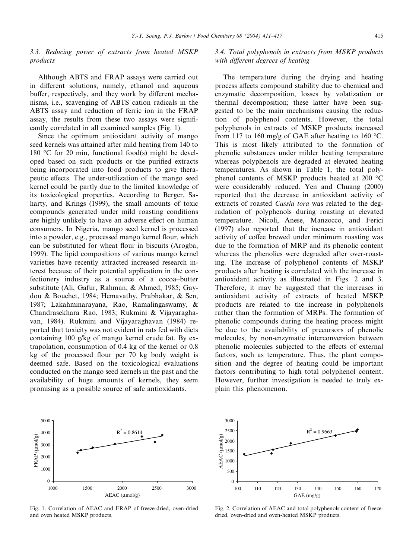# 3.3. Reducing power of extracts from heated MSKP products

Although ABTS and FRAP assays were carried out in different solutions, namely, ethanol and aqueous buffer, respectively, and they work by different mechanisms, i.e., scavenging of ABTS cation radicals in the ABTS assay and reduction of ferric ion in the FRAP assay, the results from these two assays were significantly correlated in all examined samples (Fig. 1).

Since the optimum antioxidant activity of mango seed kernels was attained after mild heating from 140 to 180 °C for 20 min, functional food(s) might be developed based on such products or the purified extracts being incorporated into food products to give therapeutic effects. The under-utilization of the mango seed kernel could be partly due to the limited knowledge of its toxicological properties. According to Berger, Saharty, and Krings (1999), the small amounts of toxic compounds generated under mild roasting conditions are highly unlikely to have an adverse effect on human consumers. In Nigeria, mango seed kernel is processed into a powder, e.g., processed mango kernel flour, which can be substituted for wheat flour in biscuits (Arogba, 1999). The lipid compositions of various mango kernel varieties have recently attracted increased research interest because of their potential application in the confectionery industry as a source of a cocoa–butter substitute (Ali, Gafur, Rahman, & Ahmed, 1985; Gaydou & Bouchet, 1984; Hemavathy, Prabhakar, & Sen, 1987; Lakahminarayana, Rao, Ramalingaswamy, & Chandrasekhara Rao, 1983; Rukmini & Vijayaraghavan, 1984). Rukmini and Vijayaraghavan (1984) reported that toxicity was not evident in rats fed with diets containing 100 g/kg of mango kernel crude fat. By extrapolation, consumption of 0.4 kg of the kernel or 0.8 kg of the processed flour per 70 kg body weight is deemed safe. Based on the toxicological evaluations conducted on the mango seed kernels in the past and the availability of huge amounts of kernels, they seem promising as a possible source of safe antioxidants.

# 3.4. Total polyphenols in extracts from MSKP products with different degrees of heating

The temperature during the drying and heating process affects compound stability due to chemical and enzymatic decomposition, losses by volatization or thermal decomposition; these latter have been suggested to be the main mechanisms causing the reduction of polyphenol contents. However, the total polyphenols in extracts of MSKP products increased from 117 to 160 mg/g of GAE after heating to 160 °C. This is most likely attributed to the formation of phenolic substances under milder heating temperature whereas polyphenols are degraded at elevated heating temperatures. As shown in Table 1, the total polyphenol contents of MSKP products heated at 200 °C were considerably reduced. Yen and Chuang (2000) reported that the decrease in antioxidant activity of extracts of roasted Cassia tora was related to the degradation of polyphenols during roasting at elevated temperature. Nicoli, Anese, Manzocco, and Ferici (1997) also reported that the increase in antioxidant activity of coffee brewed under minimum roasting was due to the formation of MRP and its phenolic content whereas the phenolics were degraded after over-roasting. The increase of polyphenol contents of MSKP products after heating is correlated with the increase in antioxidant activity as illustrated in Figs. 2 and 3. Therefore, it may be suggested that the increases in antioxidant activity of extracts of heated MSKP products are related to the increase in polyphenols rather than the formation of MRPs. The formation of phenolic compounds during the heating process might be due to the availability of precursors of phenolic molecules, by non-enzymatic interconversion between phenolic molecules subjected to the effects of external factors, such as temperature. Thus, the plant composition and the degree of heating could be important factors contributing to high total polyphenol content. However, further investigation is needed to truly explain this phenomenon.



Fig. 1. Correlation of AEAC and FRAP of freeze-dried, oven-dried and oven heated MSKP products.



Fig. 2. Correlation of AEAC and total polyphenols content of freezedried, oven-dried and oven-heated MSKP products.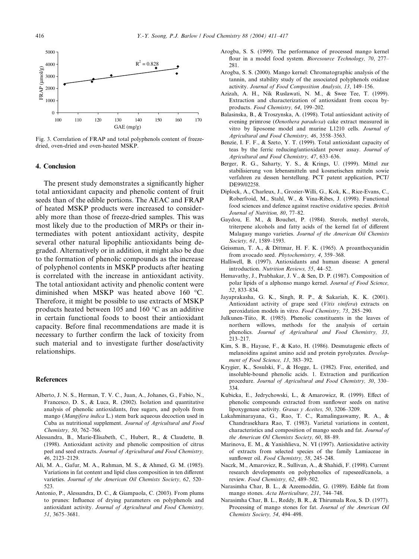

Fig. 3. Correlation of FRAP and total polyphenols content of freezedried, oven-dried and oven-heated MSKP.

## 4. Conclusion

The present study demonstrates a significantly higher total antioxidant capacity and phenolic content of fruit seeds than of the edible portions. The AEAC and FRAP of heated MSKP products were increased to considerably more than those of freeze-dried samples. This was most likely due to the production of MRPs or their intermediates with potent antioxidant activity, despite several other natural lipophilic antioxidants being degraded. Alternatively or in addition, it might also be due to the formation of phenolic compounds as the increase of polyphenol contents in MSKP products after heating is correlated with the increase in antioxidant activity. The total antioxidant activity and phenolic content were diminished when MSKP was heated above 160 °C. Therefore, it might be possible to use extracts of MSKP products heated between 105 and 160  $\degree$ C as an additive in certain functional foods to boost their antioxidant capacity. Before final recommendations are made it is necessary to further confirm the lack of toxicity from such material and to investigate further dose/activity relationships.

#### References

- Alberto, J. N. S., Herman, T. V. C., Juan, A., Johanes, G., Fabio, N., Francesco, D. S., & Luca, R. (2002). Isolation and quantitative analysis of phenolic antioxidants, free sugars, and polyols from mango (Mangifera indica L.) stem bark aqueous decoction used in Cuba as nutritional supplement. Journal of Agricultural and Food Chemistry, 50, 762–766.
- Alessandra, B., Marie-Elisabeth, C., Hubert, R., & Claudette, B. (1998). Antioxidant activity and phenolic composition of citrus peel and seed extracts. Journal of Agricultural and Food Chemistry, 46, 2123–2129.
- Ali, M. A., Gafur, M. A., Rahman, M. S., & Ahmed, G. M. (1985). Variations in fat content and lipid class composition in ten different varieties. Journal of the American Oil Chemists Society, 62, 520– 523.
- Antonio, P., Alessandra, D. C., & Giampaola, C. (2003). From plums to prunes: Influence of drying parameters on polyphenols and antioxidant activity. Journal of Agricultural and Food Chemistry, 51, 3675–3681.
- Arogba, S. S. (1999). The performance of processed mango kernel flour in a model food system. Bioresource Technology, 70, 277– 281.
- Arogba, S. S. (2000). Mango kernel: Chromatographic analysis of the tannin, and stability study of the associated polyphenols oxidase activity. Journal of Food Composition Analysis, 13, 149–156.
- Azizah, A. H., Nik Ruslawati, N. M., & Swee Tee, T. (1999). Extraction and characterization of antioxidant from cocoa byproducts. Food Chemistry, 64, 199–202.
- Balasinska, B., & Troszynska, A. (1998). Total antioxidant activity of evening primrose (Oenothera paradoxa) cake extract measured in vitro by liposome model and murine L1210 cells. Journal of Agricultural and Food Chemistry, 46, 3558–3563.
- Benzie, I. F. F., & Szeto, Y. T. (1999). Total antioxidant capacity of teas by the ferric reducing/antioxidant power assay. Journal of Agricultural and Food Chemistry, 47, 633–636.
- Berger, R. G., Saharty, Y. S., & Krings, U. (1999). Mittel zur stabilisierung von lebensmitteln und kosmetischen mitteln sowie verfahren zu dessen herstellung. PCT patent application, PCT/ DE99/02258.
- Diplock, A., Charleux, J., Grozier-Willi, G., Kok, K., Rice-Evans, C., Roberfroid, M., Stahl, W., & Vina-Ribes, J. (1998). Functional food sciences and defence against reactive oxidative species. British Journal of Nutrition, 80, 77–82.
- Gaydou, E. M., & Bouchet, P. (1984). Sterols, methyl sterols, triterpene alcohols and fatty acids of the kernel fat of different Malagasy mango varieties. Journal of the American Oil Chemists Society, 61, 1589–1593.
- Geissman, T. A., & Dittmar, H. F. K. (1965). A proanthocyanidin from avocado seed. Phytochemistry, 4, 359–368.
- Halliwell, B. (1997). Antioxidants and human disease: A general introduction. Nutrition Reviews, 55, 44–52.
- Hemavathy, J., Prabhakar, J. V., & Sen, D. P. (1987). Composition of polar lipids of a alphonso mango kernel. Journal of Food Science, 52, 833–834.
- Jayaprakasha, G. K., Singh, R. P., & Sakariah, K. K. (2001). Antioxidant activity of grape seed (Vitis vinifera) extracts on peroxidation models in vitro. Food Chemistry, 73, 285–290.
- Julkunen-Tiito, R. (1985). Phenolic constituents in the leaves of northern willows, methods for the analysis of certain phenolics. Journal of Agricultural and Food Chemistry, 33, 213–217.
- Kim, S. B., Hayase, F., & Kato, H. (1986). Desmutagenic effects of melanoidins against amino acid and protein pyrolyzates. Development of Food Science, 13, 383–392.
- Krygier, K., Sosulski, F., & Hogge, L. (1982). Free, esterified, and insoluble-bound phenolic acids. 1. Extraction and purification procedure. Journal of Agricultural and Food Chemistry, 30, 330– 334.
- Kubicka, E., Jedrychowski, L., & Amarowicz, R. (1999). Effect of phenolic compounds extracted from sunflower seeds on native lipoxygenase activity. Grasas y Aceites, 50, 3206–3209.
- Lakahminarayana, G., Rao, T. C., Ramalingaswamy, R. A., & Chandrasekhara Rao, T. (1983). Varietal variations in content, characteristics and composition of mango seeds and fat. Journal of the American Oil Chemists Society, 60, 88–89.
- Marinova, E. M., & Yanishlieva, N. VI (1997). Antioxidative activity of extracts from selected species of the family Lamiaceae in sunflower oil. Food Chemistry, 58, 245-248.
- Naczk, M., Amarovicz, R., Sullivan, A., & Shahidi, F. (1998). Current research developments on polyphenolics of rapeseed/canola, a review. Food Chemistry, 62, 489–502.
- Narasimha Char, B. L., & Azeemoddin, G. (1989). Edible fat from mango stones. Acta Horticulture, 231, 744–748.
- Narasimha Char, B. L., Reddy, B. R., & Thirumala Roa, S. D. (1977). Processing of mango stones for fat. Journal of the American Oil Chemists Society, 54, 494–498.